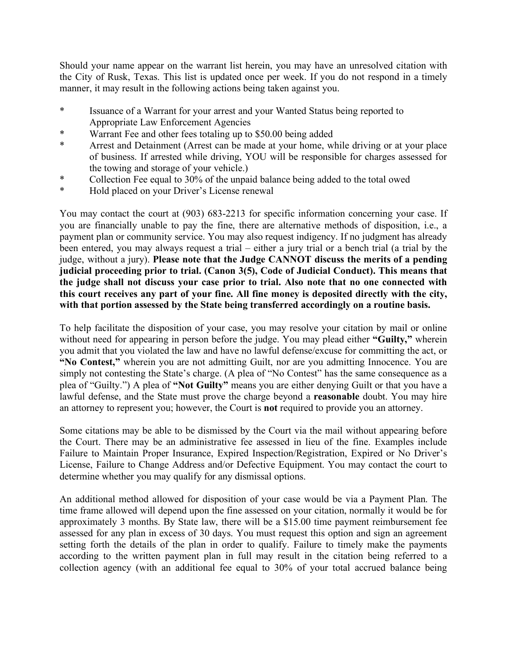Should your name appear on the warrant list herein, you may have an unresolved citation with the City of Rusk, Texas. This list is updated once per week. If you do not respond in a timely manner, it may result in the following actions being taken against you.

- \* Issuance of a Warrant for your arrest and your Wanted Status being reported to Appropriate Law Enforcement Agencies
- \* Warrant Fee and other fees totaling up to \$50.00 being added
- \* Arrest and Detainment (Arrest can be made at your home, while driving or at your place of business. If arrested while driving, YOU will be responsible for charges assessed for the towing and storage of your vehicle.)
- \* Collection Fee equal to 30% of the unpaid balance being added to the total owed
- \* Hold placed on your Driver's License renewal

You may contact the court at (903) 683-2213 for specific information concerning your case. If you are financially unable to pay the fine, there are alternative methods of disposition, i.e., a payment plan or community service. You may also request indigency. If no judgment has already been entered, you may always request a trial – either a jury trial or a bench trial (a trial by the judge, without a jury). **Please note that the Judge CANNOT discuss the merits of a pending judicial proceeding prior to trial. (Canon 3(5), Code of Judicial Conduct). This means that the judge shall not discuss your case prior to trial. Also note that no one connected with this court receives any part of your fine. All fine money is deposited directly with the city, with that portion assessed by the State being transferred accordingly on a routine basis.**

To help facilitate the disposition of your case, you may resolve your citation by mail or online without need for appearing in person before the judge. You may plead either **"Guilty,"** wherein you admit that you violated the law and have no lawful defense/excuse for committing the act, or **"No Contest,"** wherein you are not admitting Guilt, nor are you admitting Innocence. You are simply not contesting the State's charge. (A plea of "No Contest" has the same consequence as a plea of "Guilty.") A plea of **"Not Guilty"** means you are either denying Guilt or that you have a lawful defense, and the State must prove the charge beyond a **reasonable** doubt. You may hire an attorney to represent you; however, the Court is **not** required to provide you an attorney.

Some citations may be able to be dismissed by the Court via the mail without appearing before the Court. There may be an administrative fee assessed in lieu of the fine. Examples include Failure to Maintain Proper Insurance, Expired Inspection/Registration, Expired or No Driver's License, Failure to Change Address and/or Defective Equipment. You may contact the court to determine whether you may qualify for any dismissal options.

An additional method allowed for disposition of your case would be via a Payment Plan. The time frame allowed will depend upon the fine assessed on your citation, normally it would be for approximately 3 months. By State law, there will be a \$15.00 time payment reimbursement fee assessed for any plan in excess of 30 days. You must request this option and sign an agreement setting forth the details of the plan in order to qualify. Failure to timely make the payments according to the written payment plan in full may result in the citation being referred to a collection agency (with an additional fee equal to 30% of your total accrued balance being